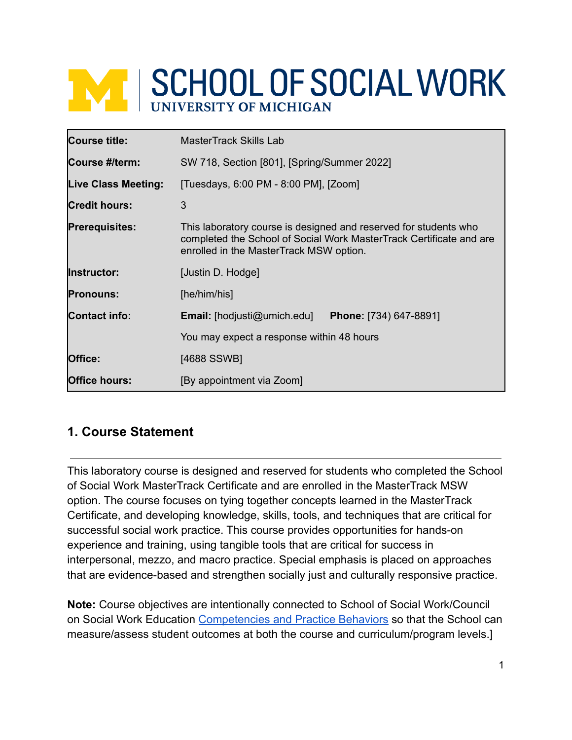# **WE SCHOOL OF SOCIAL WORK**

| <b>Course title:</b>       | <b>MasterTrack Skills Lab</b>                                                                                                                                                      |  |
|----------------------------|------------------------------------------------------------------------------------------------------------------------------------------------------------------------------------|--|
| Course #/term:             | SW 718, Section [801], [Spring/Summer 2022]                                                                                                                                        |  |
| <b>Live Class Meeting:</b> | [Tuesdays, 6:00 PM - 8:00 PM], [Zoom]                                                                                                                                              |  |
| <b>Credit hours:</b>       | 3                                                                                                                                                                                  |  |
| <b>Prerequisites:</b>      | This laboratory course is designed and reserved for students who<br>completed the School of Social Work MasterTrack Certificate and are<br>enrolled in the MasterTrack MSW option. |  |
| <b>Instructor:</b>         | [Justin D. Hodge]                                                                                                                                                                  |  |
| <b>Pronouns:</b>           | [he/him/his]                                                                                                                                                                       |  |
| <b>Contact info:</b>       | <b>Email:</b> [hodjusti@umich.edu]<br><b>Phone:</b> [734) 647-8891]                                                                                                                |  |
|                            | You may expect a response within 48 hours                                                                                                                                          |  |
| Office:                    | [4688 SSWB]                                                                                                                                                                        |  |
| <b>Office hours:</b>       | [By appointment via Zoom]                                                                                                                                                          |  |

# **1. Course Statement**

This laboratory course is designed and reserved for students who completed the School of Social Work MasterTrack Certificate and are enrolled in the MasterTrack MSW option. The course focuses on tying together concepts learned in the MasterTrack Certificate, and developing knowledge, skills, tools, and techniques that are critical for successful social work practice. This course provides opportunities for hands-on experience and training, using tangible tools that are critical for success in interpersonal, mezzo, and macro practice. Special emphasis is placed on approaches that are evidence-based and strengthen socially just and culturally responsive practice.

**Note:** Course objectives are intentionally connected to School of Social Work/Council on Social Work Education [Competencies and Practice](https://www.cswe.org/getattachment/Accreditation/Accreditation-Process/2015-EPAS/2015EPAS_Web_FINAL.pdf.aspx) Behaviors so that the School can measure/assess student outcomes at both the course and curriculum/program levels.]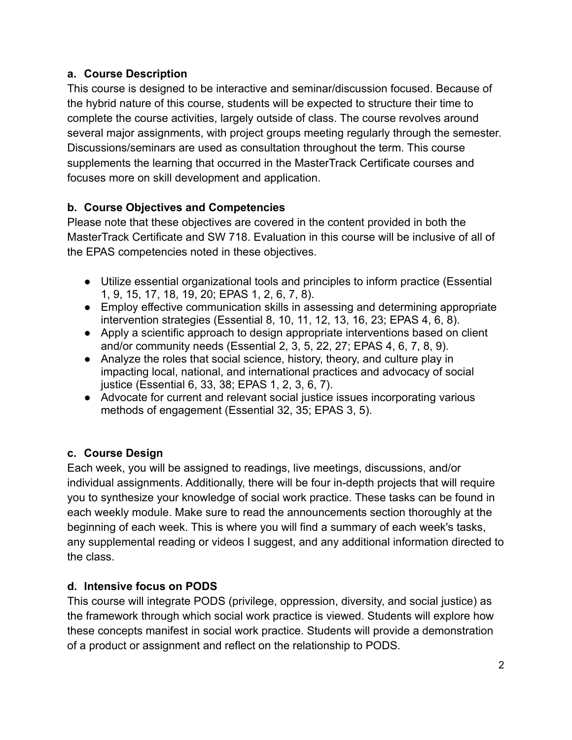#### **a. Course Description**

This course is designed to be interactive and seminar/discussion focused. Because of the hybrid nature of this course, students will be expected to structure their time to complete the course activities, largely outside of class. The course revolves around several major assignments, with project groups meeting regularly through the semester. Discussions/seminars are used as consultation throughout the term. This course supplements the learning that occurred in the MasterTrack Certificate courses and focuses more on skill development and application.

# **b. Course Objectives and Competencies**

Please note that these objectives are covered in the content provided in both the MasterTrack Certificate and SW 718. Evaluation in this course will be inclusive of all of the EPAS competencies noted in these objectives.

- Utilize essential organizational tools and principles to inform practice (Essential 1, 9, 15, 17, 18, 19, 20; EPAS 1, 2, 6, 7, 8).
- Employ effective communication skills in assessing and determining appropriate intervention strategies (Essential 8, 10, 11, 12, 13, 16, 23; EPAS 4, 6, 8).
- Apply a scientific approach to design appropriate interventions based on client and/or community needs (Essential 2, 3, 5, 22, 27; EPAS 4, 6, 7, 8, 9).
- Analyze the roles that social science, history, theory, and culture play in impacting local, national, and international practices and advocacy of social justice (Essential 6, 33, 38; EPAS 1, 2, 3, 6, 7).
- Advocate for current and relevant social justice issues incorporating various methods of engagement (Essential 32, 35; EPAS 3, 5).

# **c. Course Design**

Each week, you will be assigned to readings, live meetings, discussions, and/or individual assignments. Additionally, there will be four in-depth projects that will require you to synthesize your knowledge of social work practice. These tasks can be found in each weekly module. Make sure to read the announcements section thoroughly at the beginning of each week. This is where you will find a summary of each week's tasks, any supplemental reading or videos I suggest, and any additional information directed to the class.

# **d. Intensive focus on PODS**

This course will integrate PODS (privilege, oppression, diversity, and social justice) as the framework through which social work practice is viewed. Students will explore how these concepts manifest in social work practice. Students will provide a demonstration of a product or assignment and reflect on the relationship to PODS.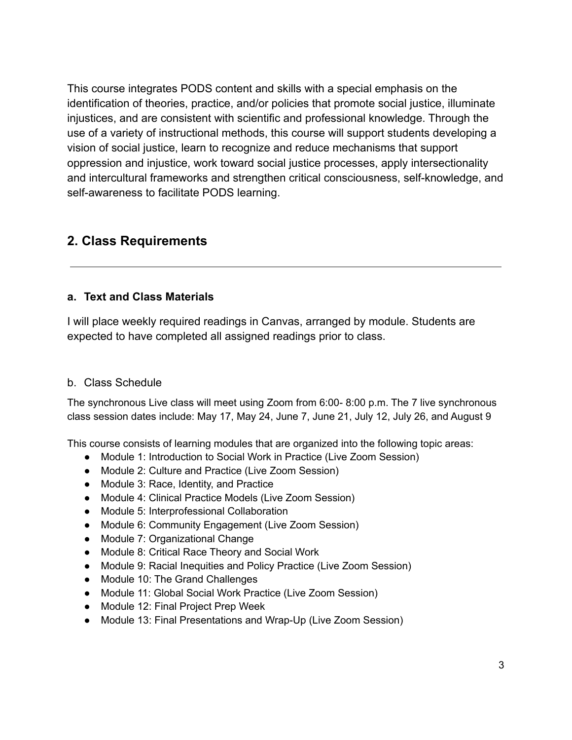This course integrates PODS content and skills with a special emphasis on the identification of theories, practice, and/or policies that promote social justice, illuminate injustices, and are consistent with scientific and professional knowledge. Through the use of a variety of instructional methods, this course will support students developing a vision of social justice, learn to recognize and reduce mechanisms that support oppression and injustice, work toward social justice processes, apply intersectionality and intercultural frameworks and strengthen critical consciousness, self-knowledge, and self-awareness to facilitate PODS learning.

# **2. Class Requirements**

#### **a. Text and Class Materials**

I will place weekly required readings in Canvas, arranged by module. Students are expected to have completed all assigned readings prior to class.

#### b. Class Schedule

The synchronous Live class will meet using Zoom from 6:00- 8:00 p.m. The 7 live synchronous class session dates include: May 17, May 24, June 7, June 21, July 12, July 26, and August 9

This course consists of learning modules that are organized into the following topic areas:

- Module 1: Introduction to Social Work in Practice (Live Zoom Session)
- Module 2: Culture and Practice (Live Zoom Session)
- Module 3: Race, Identity, and Practice
- Module 4: Clinical Practice Models (Live Zoom Session)
- Module 5: Interprofessional Collaboration
- Module 6: Community Engagement (Live Zoom Session)
- Module 7: Organizational Change
- Module 8: Critical Race Theory and Social Work
- Module 9: Racial Inequities and Policy Practice (Live Zoom Session)
- Module 10: The Grand Challenges
- Module 11: Global Social Work Practice (Live Zoom Session)
- Module 12: Final Project Prep Week
- Module 13: Final Presentations and Wrap-Up (Live Zoom Session)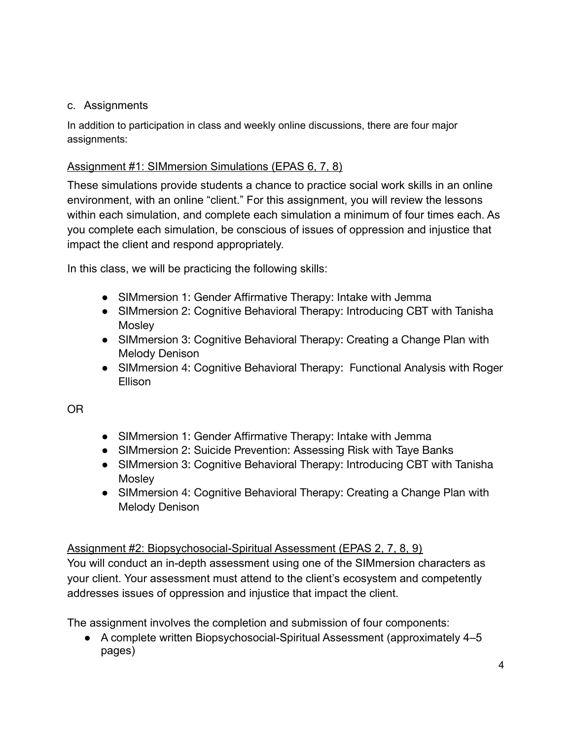#### c. Assignments

In addition to participation in class and weekly online discussions, there are four major assignments:

#### Assignment #1: SIMmersion Simulations (EPAS 6, 7, 8)

These simulations provide students a chance to practice social work skills in an online environment, with an online "client." For this assignment, you will review the lessons within each simulation, and complete each simulation a minimum of four times each. As you complete each simulation, be conscious of issues of oppression and injustice that impact the client and respond appropriately.

In this class, we will be practicing the following skills:

- SIMmersion 1: Gender Affirmative Therapy: Intake with Jemma
- SIMmersion 2: Cognitive Behavioral Therapy: Introducing CBT with Tanisha **Mosley**
- SIMmersion 3: Cognitive Behavioral Therapy: Creating a Change Plan with Melody Denison
- SIMmersion 4: Cognitive Behavioral Therapy: Functional Analysis with Roger Ellison

OR

- SIMmersion 1: Gender Affirmative Therapy: Intake with Jemma
- SIMmersion 2: Suicide Prevention: Assessing Risk with Taye Banks
- SIMmersion 3: Cognitive Behavioral Therapy: Introducing CBT with Tanisha **Mosley**
- SIMmersion 4: Cognitive Behavioral Therapy: Creating a Change Plan with Melody Denison

# Assignment #2: Biopsychosocial-Spiritual Assessment (EPAS 2, 7, 8, 9)

You will conduct an in-depth assessment using one of the SIMmersion characters as your client. Your assessment must attend to the client's ecosystem and competently addresses issues of oppression and injustice that impact the client.

The assignment involves the completion and submission of four components:

● A complete written Biopsychosocial-Spiritual Assessment (approximately 4–5 pages)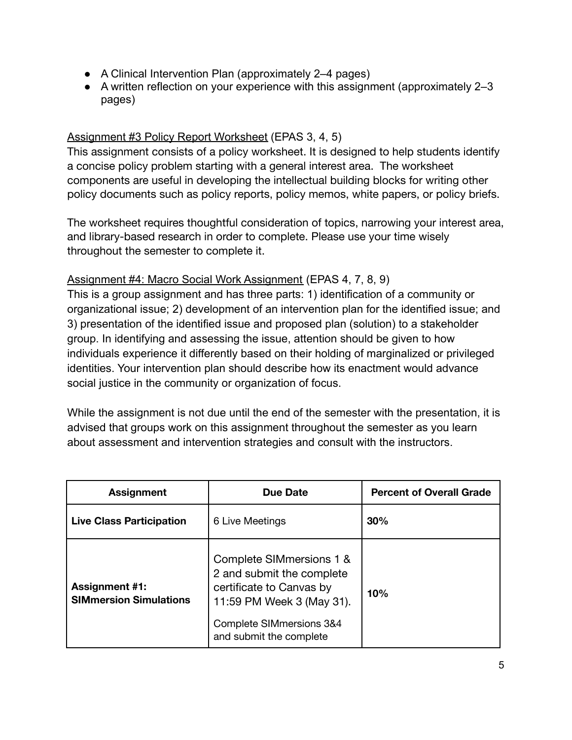- A Clinical Intervention Plan (approximately 2–4 pages)
- A written reflection on your experience with this assignment (approximately 2–3 pages)

#### Assignment #3 Policy Report Worksheet (EPAS 3, 4, 5)

This assignment consists of a policy worksheet. It is designed to help students identify a concise policy problem starting with a general interest area. The worksheet components are useful in developing the intellectual building blocks for writing other policy documents such as policy reports, policy memos, white papers, or policy briefs.

The worksheet requires thoughtful consideration of topics, narrowing your interest area, and library-based research in order to complete. Please use your time wisely throughout the semester to complete it.

#### Assignment #4: Macro Social Work Assignment (EPAS 4, 7, 8, 9)

This is a group assignment and has three parts: 1) identification of a community or organizational issue; 2) development of an intervention plan for the identified issue; and 3) presentation of the identified issue and proposed plan (solution) to a stakeholder group. In identifying and assessing the issue, attention should be given to how individuals experience it differently based on their holding of marginalized or privileged identities. Your intervention plan should describe how its enactment would advance social justice in the community or organization of focus.

While the assignment is not due until the end of the semester with the presentation, it is advised that groups work on this assignment throughout the semester as you learn about assessment and intervention strategies and consult with the instructors.

| <b>Assignment</b>                                      | Due Date                                                                                                                                                              | <b>Percent of Overall Grade</b> |  |
|--------------------------------------------------------|-----------------------------------------------------------------------------------------------------------------------------------------------------------------------|---------------------------------|--|
| <b>Live Class Participation</b>                        | 6 Live Meetings                                                                                                                                                       | 30%                             |  |
| <b>Assignment #1:</b><br><b>SIMmersion Simulations</b> | Complete SIMmersions 1 &<br>2 and submit the complete<br>certificate to Canvas by<br>11:59 PM Week 3 (May 31).<br>Complete SIMmersions 3&4<br>and submit the complete | 10%                             |  |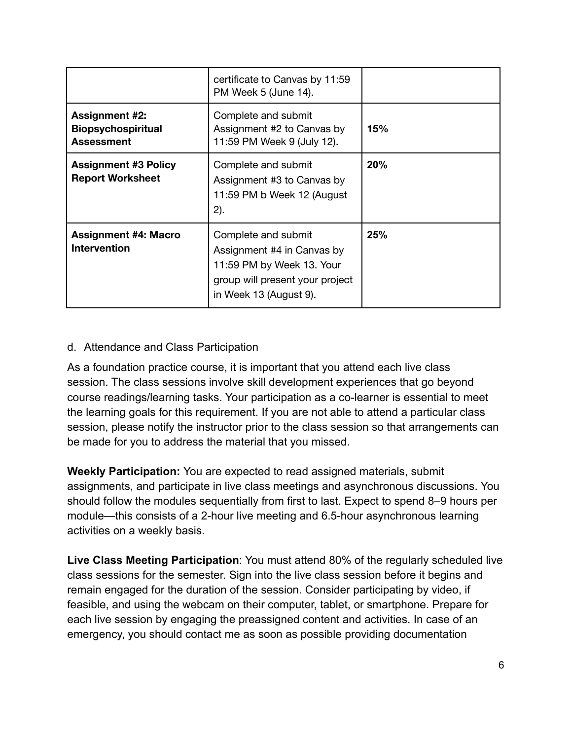|                                                                         | certificate to Canvas by 11:59<br>PM Week 5 (June 14).                                                                                      |     |
|-------------------------------------------------------------------------|---------------------------------------------------------------------------------------------------------------------------------------------|-----|
| <b>Assignment #2:</b><br><b>Biopsychospiritual</b><br><b>Assessment</b> | Complete and submit<br>Assignment #2 to Canvas by<br>11:59 PM Week 9 (July 12).                                                             | 15% |
| <b>Assignment #3 Policy</b><br><b>Report Worksheet</b>                  | Complete and submit<br>Assignment #3 to Canvas by<br>11:59 PM b Week 12 (August<br>2).                                                      | 20% |
| <b>Assignment #4: Macro</b><br><b>Intervention</b>                      | Complete and submit<br>Assignment #4 in Canvas by<br>11:59 PM by Week 13. Your<br>group will present your project<br>in Week 13 (August 9). | 25% |

#### d. Attendance and Class Participation

As a foundation practice course, it is important that you attend each live class session. The class sessions involve skill development experiences that go beyond course readings/learning tasks. Your participation as a co-learner is essential to meet the learning goals for this requirement. If you are not able to attend a particular class session, please notify the instructor prior to the class session so that arrangements can be made for you to address the material that you missed.

**Weekly Participation:** You are expected to read assigned materials, submit assignments, and participate in live class meetings and asynchronous discussions. You should follow the modules sequentially from first to last. Expect to spend 8–9 hours per module—this consists of a 2-hour live meeting and 6.5-hour asynchronous learning activities on a weekly basis.

**Live Class Meeting Participation**: You must attend 80% of the regularly scheduled live class sessions for the semester. Sign into the live class session before it begins and remain engaged for the duration of the session. Consider participating by video, if feasible, and using the webcam on their computer, tablet, or smartphone. Prepare for each live session by engaging the preassigned content and activities. In case of an emergency, you should contact me as soon as possible providing documentation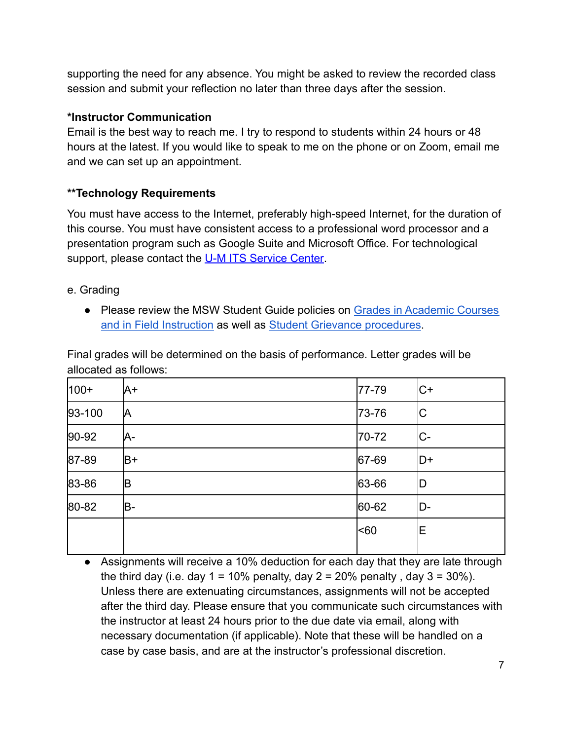supporting the need for any absence. You might be asked to review the recorded class session and submit your reflection no later than three days after the session.

#### **\*Instructor Communication**

Email is the best way to reach me. I try to respond to students within 24 hours or 48 hours at the latest. If you would like to speak to me on the phone or on Zoom, email me and we can set up an appointment.

# **\*\*Technology Requirements**

You must have access to the Internet, preferably high-speed Internet, for the duration of this course. You must have consistent access to a professional word processor and a presentation program such as Google Suite and Microsoft Office. For technological support, please contact the [U-M ITS Service Center.](https://its.umich.edu/help)

- e. Grading
	- Please review the MSW Student Guide policies on Grades [in Academic Courses](http://ssw.umich.edu/msw-student-guide/chapter/1.08/grades-in-academic-courses-and-in-field-instruction) [and in Field Instruction](http://ssw.umich.edu/msw-student-guide/chapter/1.08/grades-in-academic-courses-and-in-field-instruction) as well as **[Student Grievance](http://ssw.umich.edu/msw-student-guide/chapter/1.18/student-grievances) procedures**.

Final grades will be determined on the basis of performance. Letter grades will be allocated as follows:

| $100+$ | A+   | 77-79     | IC+   |
|--------|------|-----------|-------|
| 93-100 | И    | 73-76     | IС    |
| 90-92  | A-   | 70-72     | IC-   |
| 87-89  | $B+$ | $ 67-69 $ | $ D+$ |
| 83-86  | B    | 63-66     | ID    |
| 80-82  | B-   | 60-62     | ID-   |
|        |      | <60       | E     |
|        |      |           |       |

● Assignments will receive a 10% deduction for each day that they are late through the third day (i.e. day  $1 = 10\%$  penalty, day  $2 = 20\%$  penalty, day  $3 = 30\%$ ). Unless there are extenuating circumstances, assignments will not be accepted after the third day. Please ensure that you communicate such circumstances with the instructor at least 24 hours prior to the due date via email, along with necessary documentation (if applicable). Note that these will be handled on a case by case basis, and are at the instructor's professional discretion.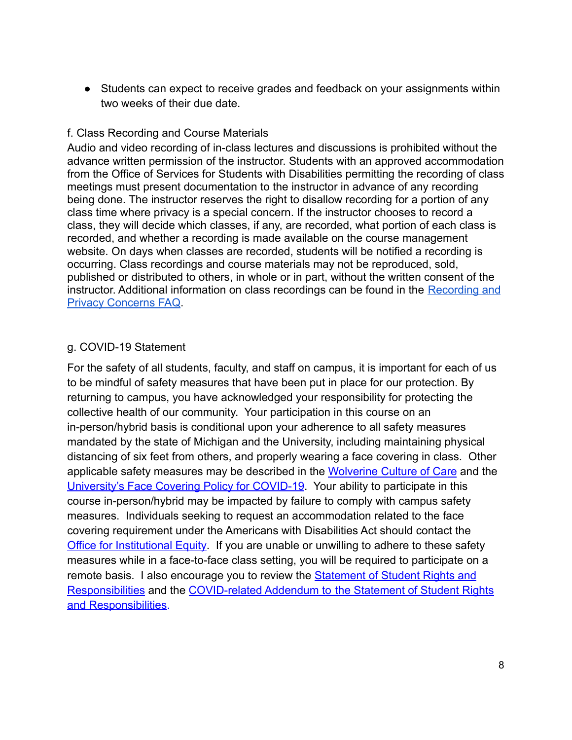● Students can expect to receive grades and feedback on your assignments within two weeks of their due date.

#### f. Class Recording and Course Materials

Audio and video recording of in-class lectures and discussions is prohibited without the advance written permission of the instructor. Students with an approved accommodation from the Office of Services for Students with Disabilities permitting the recording of class meetings must present documentation to the instructor in advance of any recording being done. The instructor reserves the right to disallow recording for a portion of any class time where privacy is a special concern. If the instructor chooses to record a class, they will decide which classes, if any, are recorded, what portion of each class is recorded, and whether a recording is made available on the course management website. On days when classes are recorded, students will be notified a recording is occurring. Class recordings and course materials may not be reproduced, sold, published or distributed to others, in whole or in part, without the written consent of the instructor. Additional information on class recordings can be found in the [Recording and](https://safecomputing.umich.edu/be-aware/privacy/privacy-u-m/videoconferencing/recording-privacy-concerns-faq) [Privacy Concerns FAQ](https://safecomputing.umich.edu/be-aware/privacy/privacy-u-m/videoconferencing/recording-privacy-concerns-faq).

#### g. COVID-19 Statement

For the safety of all students, faculty, and staff on campus, it is important for each of us to be mindful of safety measures that have been put in place for our protection. By returning to campus, you have acknowledged your responsibility for protecting the collective health of our community. Your participation in this course on an in-person/hybrid basis is conditional upon your adherence to all safety measures mandated by the state of Michigan and the University, including maintaining physical distancing of six feet from others, and properly wearing a face covering in class. Other applicable safety measures may be described in the [Wolverine Culture of Care](https://campusblueprint.umich.edu/uploads/Wolverine_Culture_of_Care%20sign_8.5x11_UPDATED_071520.pdf) and the [University's Face Covering Policy for COVID-19.](http://ehs.umich.edu/wp-content/uploads/2020/07/U-M-Face-Covering-Policy-for-COVID-19.pdf) Your ability to participate in this course in-person/hybrid may be impacted by failure to comply with campus safety measures. Individuals seeking to request an accommodation related to the face covering requirement under the Americans with Disabilities Act should contact the [Office for Institutional Equity](https://oie.umich.edu/american-with-disabilities-act-ada/). If you are unable or unwilling to adhere to these safety measures while in a face-to-face class setting, you will be required to participate on a remote basis. I also encourage you to review the [Statement of Student Rights and](https://oscr.umich.edu/statement#1) [Responsibilities](https://oscr.umich.edu/statement#1) and the COVID-related Addendum to [the Statement of Student Rights](https://oscr.umich.edu/sites/oscr.umich.edu/files/2020_statement_addendum_final_approved.pdf) [and Responsibilities.](https://oscr.umich.edu/sites/oscr.umich.edu/files/2020_statement_addendum_final_approved.pdf)